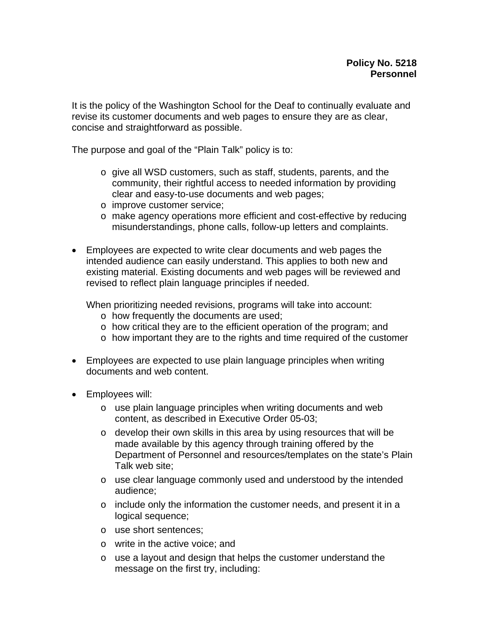It is the policy of the Washington School for the Deaf to continually evaluate and revise its customer documents and web pages to ensure they are as clear, concise and straightforward as possible.

The purpose and goal of the "Plain Talk" policy is to:

- o give all WSD customers, such as staff, students, parents, and the community, their rightful access to needed information by providing clear and easy-to-use documents and web pages;
- o improve customer service;
- o make agency operations more efficient and cost-effective by reducing misunderstandings, phone calls, follow-up letters and complaints.
- Employees are expected to write clear documents and web pages the intended audience can easily understand. This applies to both new and existing material. Existing documents and web pages will be reviewed and revised to reflect plain language principles if needed.

When prioritizing needed revisions, programs will take into account:

- o how frequently the documents are used;
- o how critical they are to the efficient operation of the program; and
- o how important they are to the rights and time required of the customer
- Employees are expected to use plain language principles when writing documents and web content.
- Employees will:
	- o use plain language principles when writing documents and web content, as described in Executive Order 05-03;
	- o develop their own skills in this area by using resources that will be made available by this agency through training offered by the Department of Personnel and resources/templates on the state's Plain Talk web site;
	- $\circ$  use clear language commonly used and understood by the intended audience;
	- o include only the information the customer needs, and present it in a logical sequence;
	- o use short sentences;
	- o write in the active voice; and
	- o use a layout and design that helps the customer understand the message on the first try, including: